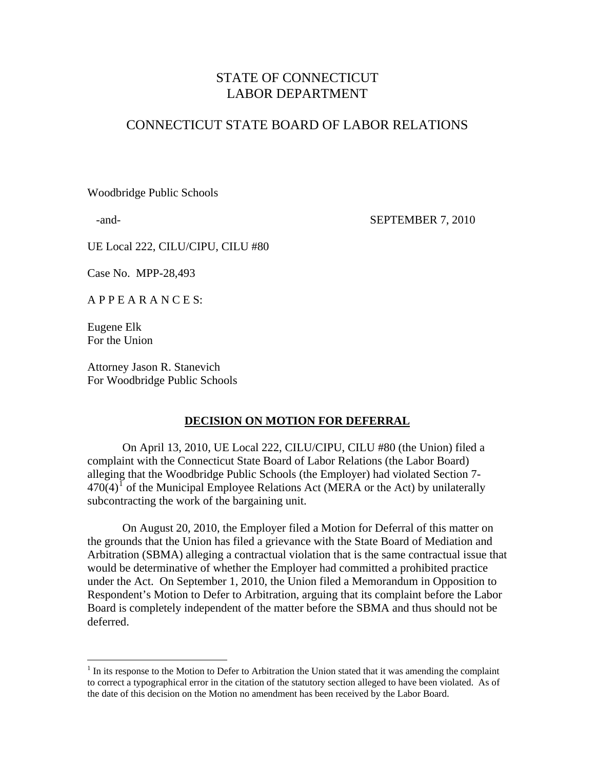# STATE OF CONNECTICUT LABOR DEPARTMENT

# CONNECTICUT STATE BOARD OF LABOR RELATIONS

Woodbridge Public Schools

-and-<br>
SEPTEMBER 7, 2010

UE Local 222, CILU/CIPU, CILU #80

Case No. MPP-28,493

A P P E A R A N C E S:

Eugene Elk For the Union

 $\overline{a}$ 

Attorney Jason R. Stanevich For Woodbridge Public Schools

### **DECISION ON MOTION FOR DEFERRAL**

 On April 13, 2010, UE Local 222, CILU/CIPU, CILU #80 (the Union) filed a complaint with the Connecticut State Board of Labor Relations (the Labor Board) alleging that the Woodbridge Public Schools (the Employer) had violated Section 7-  $470(4)$ <sup>I</sup> of the Municipal Employee Relations Act (MERA or the Act) by unilaterally subcontracting the work of the bargaining unit.

 On August 20, 2010, the Employer filed a Motion for Deferral of this matter on the grounds that the Union has filed a grievance with the State Board of Mediation and Arbitration (SBMA) alleging a contractual violation that is the same contractual issue that would be determinative of whether the Employer had committed a prohibited practice under the Act. On September 1, 2010, the Union filed a Memorandum in Opposition to Respondent's Motion to Defer to Arbitration, arguing that its complaint before the Labor Board is completely independent of the matter before the SBMA and thus should not be deferred.

<span id="page-0-0"></span> $<sup>1</sup>$  In its response to the Motion to Defer to Arbitration the Union stated that it was amending the complaint</sup> to correct a typographical error in the citation of the statutory section alleged to have been violated. As of the date of this decision on the Motion no amendment has been received by the Labor Board.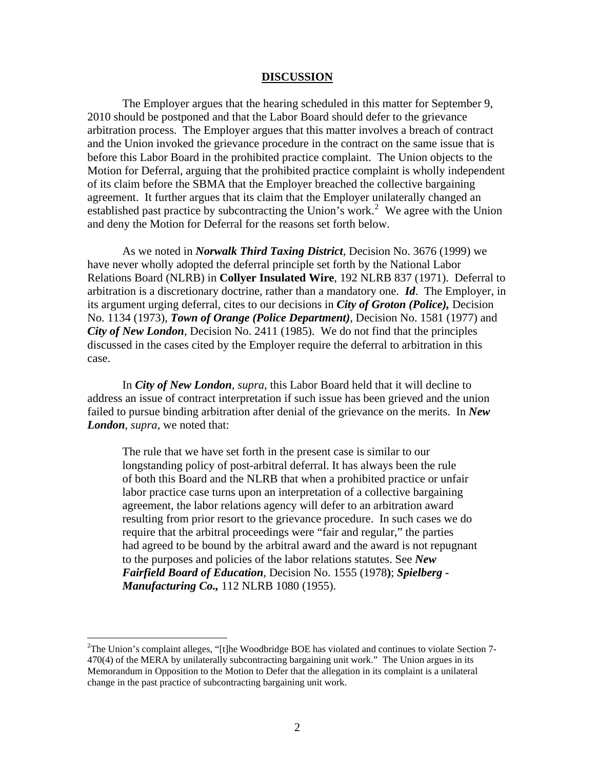#### **DISCUSSION**

 The Employer argues that the hearing scheduled in this matter for September 9, 2010 should be postponed and that the Labor Board should defer to the grievance arbitration process. The Employer argues that this matter involves a breach of contract and the Union invoked the grievance procedure in the contract on the same issue that is before this Labor Board in the prohibited practice complaint. The Union objects to the Motion for Deferral, arguing that the prohibited practice complaint is wholly independent of its claim before the SBMA that the Employer breached the collective bargaining agreement. It further argues that its claim that the Employer unilaterally changed an established past practice by subcontracting the Union's work.<sup>[2](#page-1-0)</sup> We agree with the Union and deny the Motion for Deferral for the reasons set forth below.

 As we noted in *Norwalk Third Taxing District*, Decision No. 3676 (1999) we have never wholly adopted the deferral principle set forth by the National Labor Relations Board (NLRB) in **Collyer Insulated Wire**, 192 NLRB 837 (1971). Deferral to arbitration is a discretionary doctrine, rather than a mandatory one. *Id*. The Employer, in its argument urging deferral, cites to our decisions in *City of Groton (Police),* Decision No. 1134 (1973), *Town of Orange (Police Department)*, Decision No. 1581 (1977) and *City of New London*, Decision No. 2411 (1985). We do not find that the principles discussed in the cases cited by the Employer require the deferral to arbitration in this case.

 In *City of New London, supra*, this Labor Board held that it will decline to address an issue of contract interpretation if such issue has been grieved and the union failed to pursue binding arbitration after denial of the grievance on the merits. In *New London*, *supra,* we noted that:

The rule that we have set forth in the present case is similar to our longstanding policy of post-arbitral deferral. It has always been the rule of both this Board and the NLRB that when a prohibited practice or unfair labor practice case turns upon an interpretation of a collective bargaining agreement, the labor relations agency will defer to an arbitration award resulting from prior resort to the grievance procedure. In such cases we do require that the arbitral proceedings were "fair and regular," the parties had agreed to be bound by the arbitral award and the award is not repugnant to the purposes and policies of the labor relations statutes. See *New Fairfield Board of Education*, Decision No. 1555 (1978**)**; *Spielberg - Manufacturing Co.,* 112 NLRB 1080 (1955).

 $\overline{a}$ 

<span id="page-1-0"></span><sup>&</sup>lt;sup>2</sup>The Union's complaint alleges, "[t]he Woodbridge BOE has violated and continues to violate Section 7-470(4) of the MERA by unilaterally subcontracting bargaining unit work." The Union argues in its Memorandum in Opposition to the Motion to Defer that the allegation in its complaint is a unilateral change in the past practice of subcontracting bargaining unit work.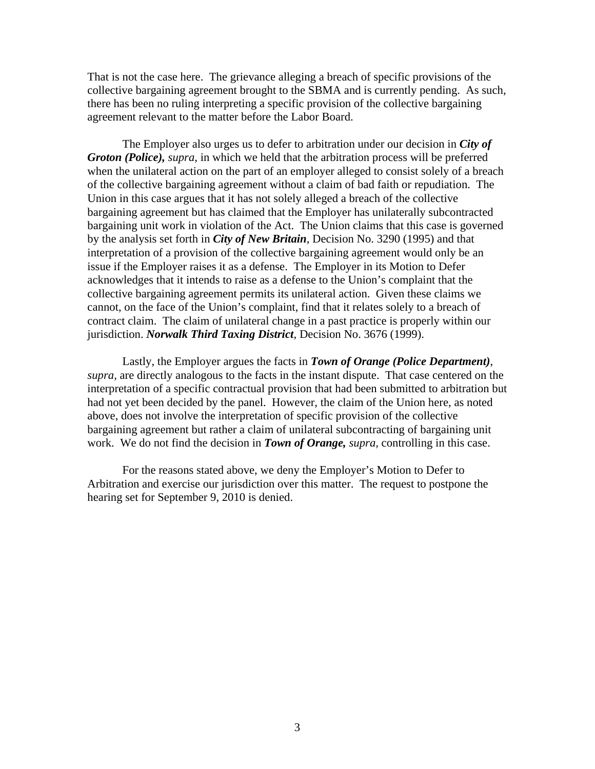That is not the case here. The grievance alleging a breach of specific provisions of the collective bargaining agreement brought to the SBMA and is currently pending. As such, there has been no ruling interpreting a specific provision of the collective bargaining agreement relevant to the matter before the Labor Board.

 The Employer also urges us to defer to arbitration under our decision in *City of Groton (Police), supra*, in which we held that the arbitration process will be preferred when the unilateral action on the part of an employer alleged to consist solely of a breach of the collective bargaining agreement without a claim of bad faith or repudiation. The Union in this case argues that it has not solely alleged a breach of the collective bargaining agreement but has claimed that the Employer has unilaterally subcontracted bargaining unit work in violation of the Act. The Union claims that this case is governed by the analysis set forth in *City of New Britain*, Decision No. 3290 (1995) and that interpretation of a provision of the collective bargaining agreement would only be an issue if the Employer raises it as a defense. The Employer in its Motion to Defer acknowledges that it intends to raise as a defense to the Union's complaint that the collective bargaining agreement permits its unilateral action. Given these claims we cannot, on the face of the Union's complaint, find that it relates solely to a breach of contract claim. The claim of unilateral change in a past practice is properly within our jurisdiction. *Norwalk Third Taxing District*, Decision No. 3676 (1999).

 Lastly, the Employer argues the facts in *Town of Orange (Police Department)*, *supra,* are directly analogous to the facts in the instant dispute. That case centered on the interpretation of a specific contractual provision that had been submitted to arbitration but had not yet been decided by the panel. However, the claim of the Union here, as noted above, does not involve the interpretation of specific provision of the collective bargaining agreement but rather a claim of unilateral subcontracting of bargaining unit work. We do not find the decision in *Town of Orange, supra,* controlling in this case.

 For the reasons stated above, we deny the Employer's Motion to Defer to Arbitration and exercise our jurisdiction over this matter. The request to postpone the hearing set for September 9, 2010 is denied.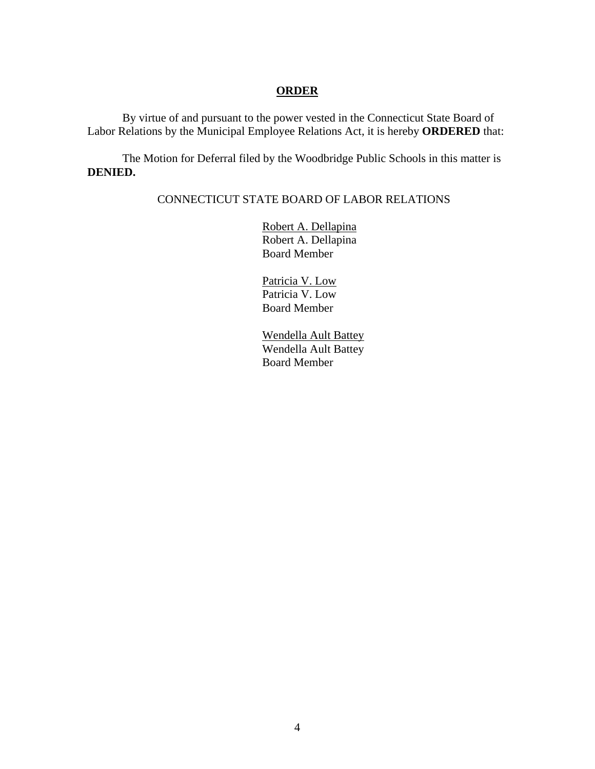### **ORDER**

 By virtue of and pursuant to the power vested in the Connecticut State Board of Labor Relations by the Municipal Employee Relations Act, it is hereby **ORDERED** that:

 The Motion for Deferral filed by the Woodbridge Public Schools in this matter is **DENIED.** 

## CONNECTICUT STATE BOARD OF LABOR RELATIONS

 Robert A. Dellapina Robert A. Dellapina Board Member

 Patricia V. Low Patricia V. Low Board Member

 Wendella Ault Battey Wendella Ault Battey Board Member